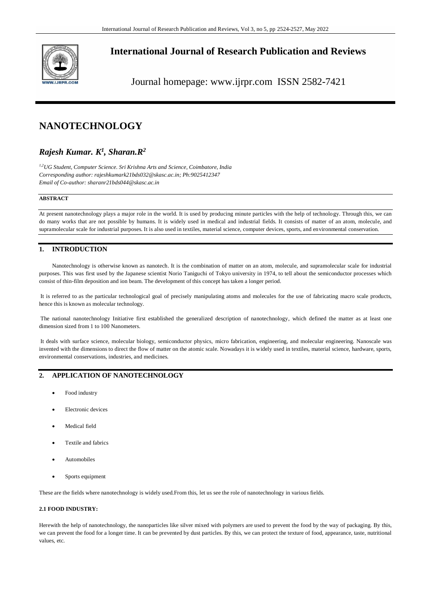

# **International Journal of Research Publication and Reviews**

Journal homepage: www.ijrpr.com ISSN 2582-7421

# **NANOTECHNOLOGY**

# *Rajesh Kumar. K 1 , Sharan.R<sup>2</sup>*

*1,2UG Student, Computer Science. Sri Krishna Arts and Science, Coimbatore, India Corresponding author: rajeshkumark21bds032@skasc.ac.in; Ph:9025412347 Email of Co-author: sharanr21bds044@skasc.ac.in*

#### **ABSTRACT**

At present nanotechnology plays a major role in the world. It is used by producing minute particles with the help of technology. Through this, we can do many works that are not possible by humans. It is widely used in medical and industrial fields. It consists of matter of an atom, molecule, and supramolecular scale for industrial purposes. It is also used in textiles, material science, computer devices, sports, and environmental conservation.

## **1. INTRODUCTION**

Nanotechnology is otherwise known as nanotech. It is the combination of matter on an atom, molecule, and supramolecular scale for industrial purposes. This was first used by the Japanese scientist Norio Taniguchi of Tokyo university in 1974, to tell about the semiconductor processes which consist of thin-film deposition and ion beam. The development of this concept has taken a longer period.

It is referred to as the particular technological goal of precisely manipulating atoms and molecules for the use of fabricating macro scale products, hence this is known as molecular technology.

The national nanotechnology Initiative first established the generalized description of nanotechnology, which defined the matter as at least one dimension sized from 1 to 100 Nanometers.

It deals with surface science, molecular biology, semiconductor physics, micro fabrication, engineering, and molecular engineering. Nanoscale was invented with the dimensions to direct the flow of matter on the atomic scale. Nowadays it is widely used in textiles, material science, hardware, sports, environmental conservations, industries, and medicines.

## **2. APPLICATION OF NANOTECHNOLOGY**

- Food industry
- Electronic devices
- Medical field
- Textile and fabrics
- Automobiles
- Sports equipment

These are the fields where nanotechnology is widely used.From this, let us see the role of nanotechnology in various fields.

#### **2.1 FOOD INDUSTRY:**

Herewith the help of nanotechnology, the nanoparticles like silver mixed with polymers are used to prevent the food by the way of packaging. By this, we can prevent the food for a longer time. It can be prevented by dust particles. By this, we can protect the texture of food, appearance, taste, nutritional values, etc.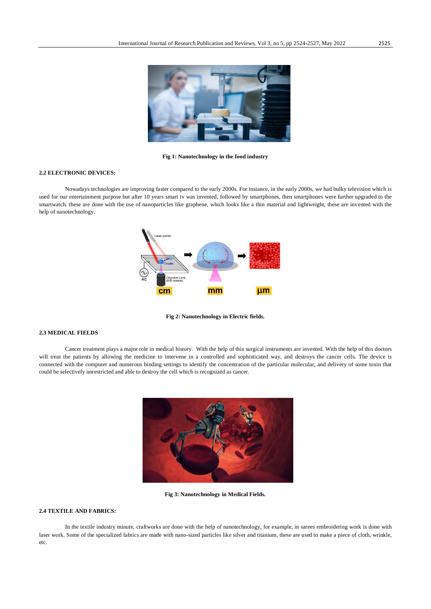

**Fig 1: Nanotechnology in the food industry**

#### **2.2 ELECTRONIC DEVICES:**

Nowadays technologies are improving faster compared to the early 2000s. For instance, in the early 2000s, we had bulky television which is used for our entertainment purpose but after 10 years smart tv was invented, followed by smartphones, then smartphones were further upgraded to the smartwatch. these are done with the use of nanoparticles like graphene, which looks like a thin material and lightweight, these are invented with the help of nanotechnology.



**Fig 2: Nanotechnology in Electric fields.**

#### **2.3 MEDICAL FIELDS**

Cancer treatment plays a major role in medical history. With the help of this surgical instruments are invented. With the help of this doctors will treat the patients by allowing the medicine to intervene in a controlled and sophisticated way, and destroys the cancer cells. The device is connected with the computer and numerous binding settings to identify the concentration of the particular molecular, and delivery of some toxin that could be selectively unrestricted and able to destroy the cell which is recognized as cancer.



**Fig 3: Nanotechnology in Medical Fields.**

#### **2.4 TEXTILE AND FABRICS:**

In the textile industry minute, craftworks are done with the help of nanotechnology, for example, in sarees embroidering work is done with laser work. Some of the specialized fabrics are made with nano-sized particles like silver and titanium, these are used to make a piece of cloth, wrinkle, etc.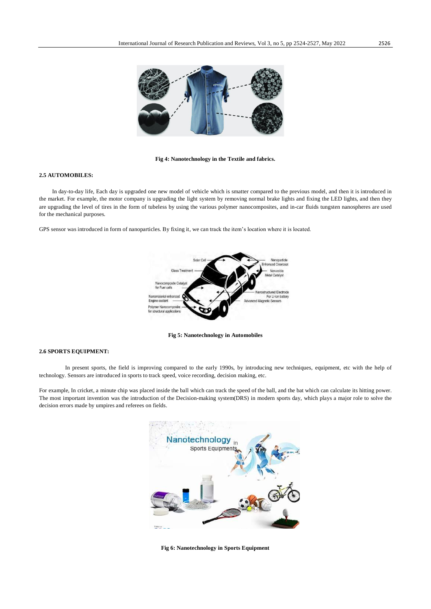

#### **Fig 4: Nanotechnology in the Textile and fabrics.**

#### **2.5 AUTOMOBILES:**

In day-to-day life, Each day is upgraded one new model of vehicle which is smatter compared to the previous model, and then it is introduced in the market. For example, the motor company is upgrading the light system by removing normal brake lights and fixing the LED lights, and then they are upgrading the level of tires in the form of tubeless by using the various polymer nanocomposites, and in-car fluids tungsten nanospheres are used for the mechanical purposes.

GPS sensor was introduced in form of nanoparticles. By fixing it, we can track the item's location where it is located.



**Fig 5: Nanotechnology in Automobiles**

#### **2.6 SPORTS EQUIPMENT:**

In present sports, the field is improving compared to the early 1990s, by introducing new techniques, equipment, etc with the help of technology. Sensors are introduced in sports to track speed, voice recording, decision making, etc.

For example, In cricket, a minute chip was placed inside the ball which can track the speed of the ball, and the bat which can calculate its hitting power. The most important invention was the introduction of the Decision-making system(DRS) in modern sports day, which plays a major role to solve the decision errors made by umpires and referees on fields.



**Fig 6: Nanotechnology in Sports Equipment**